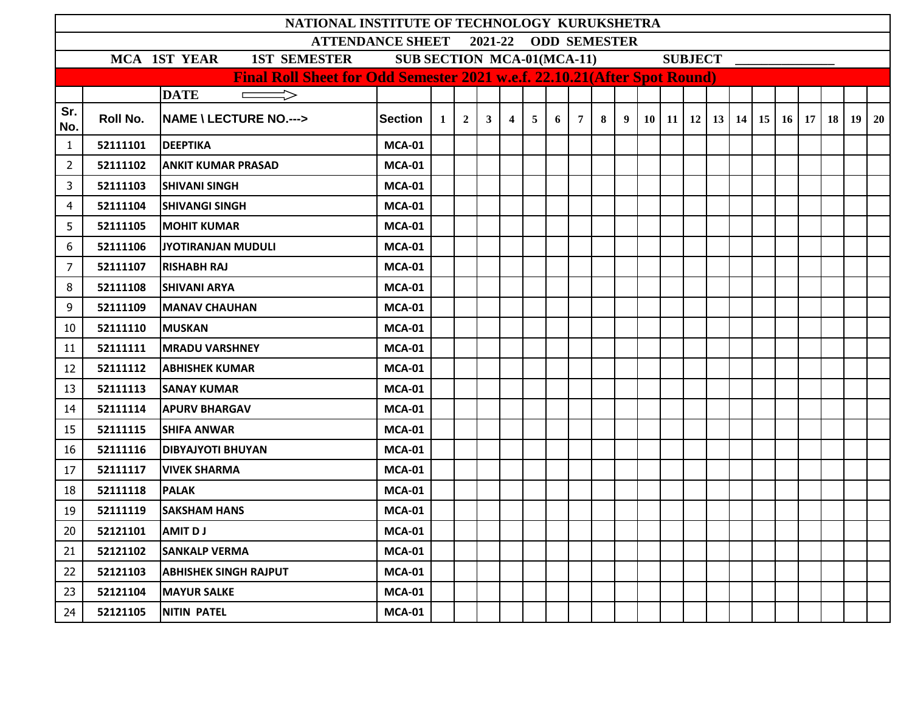|                                                 |                                                                                                                                                                               | NATIONAL INSTITUTE OF TECHNOLOGY KURUKSHETRA |               |                |                |                |                |                |   |                 |   |                |  |  |  |  |  |  |                                                                                      |  |
|-------------------------------------------------|-------------------------------------------------------------------------------------------------------------------------------------------------------------------------------|----------------------------------------------|---------------|----------------|----------------|----------------|----------------|----------------|---|-----------------|---|----------------|--|--|--|--|--|--|--------------------------------------------------------------------------------------|--|
| <b>ATTENDANCE SHEET</b><br>2021-22 ODD SEMESTER |                                                                                                                                                                               |                                              |               |                |                |                |                |                |   |                 |   |                |  |  |  |  |  |  |                                                                                      |  |
|                                                 | <b>SUB SECTION MCA-01(MCA-11)</b><br><b>SUBJECT</b><br><b>MCA 1ST YEAR</b><br><b>1ST SEMESTER</b><br>Final Roll Sheet for Odd Semester 2021 w.e.f. 22.10.21(After Spot Round) |                                              |               |                |                |                |                |                |   |                 |   |                |  |  |  |  |  |  |                                                                                      |  |
|                                                 |                                                                                                                                                                               |                                              |               |                |                |                |                |                |   |                 |   |                |  |  |  |  |  |  |                                                                                      |  |
|                                                 |                                                                                                                                                                               | <b>DATE</b><br>$\Rightarrow$                 |               |                |                |                |                |                |   |                 |   |                |  |  |  |  |  |  |                                                                                      |  |
| Sr.<br>No.                                      | Roll No.                                                                                                                                                                      | <b>NAME \ LECTURE NO.---&gt;</b>             | Section       | 1 <sup>1</sup> | 2 <sup>1</sup> | 3 <sup>1</sup> | $\overline{4}$ | 5 <sub>5</sub> | 6 | $7\overline{ }$ | 8 | $\overline{9}$ |  |  |  |  |  |  | $10 \mid 11 \mid 12 \mid 13 \mid 14 \mid 15 \mid 16 \mid 17 \mid 18 \mid 19 \mid 20$ |  |
| $\mathbf{1}$                                    | 52111101                                                                                                                                                                      | <b>DEEPTIKA</b>                              | <b>MCA-01</b> |                |                |                |                |                |   |                 |   |                |  |  |  |  |  |  |                                                                                      |  |
| $\overline{2}$                                  | 52111102                                                                                                                                                                      | <b>ANKIT KUMAR PRASAD</b>                    | <b>MCA-01</b> |                |                |                |                |                |   |                 |   |                |  |  |  |  |  |  |                                                                                      |  |
| 3                                               | 52111103                                                                                                                                                                      | <b>SHIVANI SINGH</b>                         | <b>MCA-01</b> |                |                |                |                |                |   |                 |   |                |  |  |  |  |  |  |                                                                                      |  |
| 4                                               | 52111104                                                                                                                                                                      | <b>SHIVANGI SINGH</b>                        | <b>MCA-01</b> |                |                |                |                |                |   |                 |   |                |  |  |  |  |  |  |                                                                                      |  |
| 5                                               | 52111105                                                                                                                                                                      | <b>MOHIT KUMAR</b>                           | <b>MCA-01</b> |                |                |                |                |                |   |                 |   |                |  |  |  |  |  |  |                                                                                      |  |
| 6                                               | 52111106                                                                                                                                                                      | <b>JYOTIRANJAN MUDULI</b>                    | <b>MCA-01</b> |                |                |                |                |                |   |                 |   |                |  |  |  |  |  |  |                                                                                      |  |
| $\overline{7}$                                  | 52111107                                                                                                                                                                      | <b>RISHABH RAJ</b>                           | <b>MCA-01</b> |                |                |                |                |                |   |                 |   |                |  |  |  |  |  |  |                                                                                      |  |
| 8                                               | 52111108                                                                                                                                                                      | <b>SHIVANI ARYA</b>                          | <b>MCA-01</b> |                |                |                |                |                |   |                 |   |                |  |  |  |  |  |  |                                                                                      |  |
| 9                                               | 52111109                                                                                                                                                                      | <b>MANAV CHAUHAN</b>                         | <b>MCA-01</b> |                |                |                |                |                |   |                 |   |                |  |  |  |  |  |  |                                                                                      |  |
| 10                                              | 52111110                                                                                                                                                                      | <b>MUSKAN</b>                                | <b>MCA-01</b> |                |                |                |                |                |   |                 |   |                |  |  |  |  |  |  |                                                                                      |  |
| 11                                              | 52111111                                                                                                                                                                      | <b>MRADU VARSHNEY</b>                        | <b>MCA-01</b> |                |                |                |                |                |   |                 |   |                |  |  |  |  |  |  |                                                                                      |  |
| 12                                              | 52111112                                                                                                                                                                      | <b>ABHISHEK KUMAR</b>                        | <b>MCA-01</b> |                |                |                |                |                |   |                 |   |                |  |  |  |  |  |  |                                                                                      |  |
| 13                                              | 52111113                                                                                                                                                                      | <b>SANAY KUMAR</b>                           | <b>MCA-01</b> |                |                |                |                |                |   |                 |   |                |  |  |  |  |  |  |                                                                                      |  |
| 14                                              | 52111114                                                                                                                                                                      | <b>APURV BHARGAV</b>                         | <b>MCA-01</b> |                |                |                |                |                |   |                 |   |                |  |  |  |  |  |  |                                                                                      |  |
| 15                                              | 52111115                                                                                                                                                                      | <b>SHIFA ANWAR</b>                           | <b>MCA-01</b> |                |                |                |                |                |   |                 |   |                |  |  |  |  |  |  |                                                                                      |  |
| 16                                              | 52111116                                                                                                                                                                      | <b>DIBYAJYOTI BHUYAN</b>                     | <b>MCA-01</b> |                |                |                |                |                |   |                 |   |                |  |  |  |  |  |  |                                                                                      |  |
| 17                                              | 52111117                                                                                                                                                                      | <b>VIVEK SHARMA</b>                          | <b>MCA-01</b> |                |                |                |                |                |   |                 |   |                |  |  |  |  |  |  |                                                                                      |  |
| 18                                              | 52111118                                                                                                                                                                      | <b>PALAK</b>                                 | <b>MCA-01</b> |                |                |                |                |                |   |                 |   |                |  |  |  |  |  |  |                                                                                      |  |
| 19                                              | 52111119                                                                                                                                                                      | <b>SAKSHAM HANS</b>                          | <b>MCA-01</b> |                |                |                |                |                |   |                 |   |                |  |  |  |  |  |  |                                                                                      |  |
| 20                                              | 52121101                                                                                                                                                                      | <b>AMIT D J</b>                              | <b>MCA-01</b> |                |                |                |                |                |   |                 |   |                |  |  |  |  |  |  |                                                                                      |  |
| 21                                              | 52121102                                                                                                                                                                      | <b>SANKALP VERMA</b>                         | <b>MCA-01</b> |                |                |                |                |                |   |                 |   |                |  |  |  |  |  |  |                                                                                      |  |
| 22                                              | 52121103                                                                                                                                                                      | <b>ABHISHEK SINGH RAJPUT</b>                 | <b>MCA-01</b> |                |                |                |                |                |   |                 |   |                |  |  |  |  |  |  |                                                                                      |  |
| 23                                              | 52121104                                                                                                                                                                      | <b>MAYUR SALKE</b>                           | <b>MCA-01</b> |                |                |                |                |                |   |                 |   |                |  |  |  |  |  |  |                                                                                      |  |
| 24                                              | 52121105                                                                                                                                                                      | <b>NITIN PATEL</b>                           | <b>MCA-01</b> |                |                |                |                |                |   |                 |   |                |  |  |  |  |  |  |                                                                                      |  |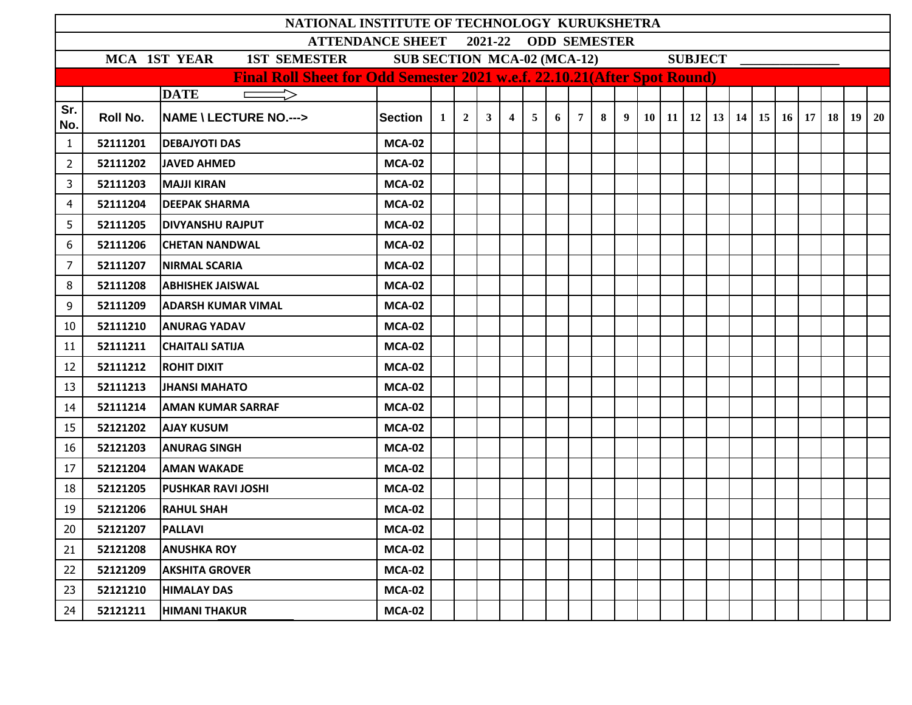|                                                                                                                   |          | NATIONAL INSTITUTE OF TECHNOLOGY KURUKSHETRA                             |               |                |                |                |                |                |   |   |   |   |  |  |  |                                                              |  |                 |    |                 |
|-------------------------------------------------------------------------------------------------------------------|----------|--------------------------------------------------------------------------|---------------|----------------|----------------|----------------|----------------|----------------|---|---|---|---|--|--|--|--------------------------------------------------------------|--|-----------------|----|-----------------|
| 2021-22<br><b>ODD SEMESTER</b><br><b>ATTENDANCE SHEET</b><br><b>SUB SECTION MCA-02 (MCA-12)</b><br><b>SUBJECT</b> |          |                                                                          |               |                |                |                |                |                |   |   |   |   |  |  |  |                                                              |  |                 |    |                 |
|                                                                                                                   |          | <b>1ST SEMESTER</b><br>MCA 1ST YEAR                                      |               |                |                |                |                |                |   |   |   |   |  |  |  |                                                              |  |                 |    |                 |
|                                                                                                                   |          | Final Roll Sheet for Odd Semester 2021 w.e.f. 22.10.21(After Spot Round) |               |                |                |                |                |                |   |   |   |   |  |  |  |                                                              |  |                 |    |                 |
|                                                                                                                   |          | <b>DATE</b><br>$\implies$                                                |               |                |                |                |                |                |   |   |   |   |  |  |  |                                                              |  |                 |    |                 |
| Sr.<br>No.                                                                                                        | Roll No. | <b>NAME \ LECTURE NO.---&gt;</b>                                         | Section       | 1 <sup>1</sup> | 2 <sup>1</sup> | 3 <sup>1</sup> | $\overline{4}$ | 5 <sup>5</sup> | 6 | 7 | 8 | 9 |  |  |  | $10 \mid 11 \mid 12 \mid 13 \mid 14 \mid 15 \mid 16 \mid 17$ |  | 18 <sup>1</sup> | 19 | 20 <sup>1</sup> |
| 1                                                                                                                 | 52111201 | <b>DEBAJYOTI DAS</b>                                                     | <b>MCA-02</b> |                |                |                |                |                |   |   |   |   |  |  |  |                                                              |  |                 |    |                 |
| 2                                                                                                                 | 52111202 | <b>JAVED AHMED</b>                                                       | <b>MCA-02</b> |                |                |                |                |                |   |   |   |   |  |  |  |                                                              |  |                 |    |                 |
| 3                                                                                                                 | 52111203 | <b>MAJJI KIRAN</b>                                                       | <b>MCA-02</b> |                |                |                |                |                |   |   |   |   |  |  |  |                                                              |  |                 |    |                 |
| 4                                                                                                                 | 52111204 | <b>DEEPAK SHARMA</b>                                                     | <b>MCA-02</b> |                |                |                |                |                |   |   |   |   |  |  |  |                                                              |  |                 |    |                 |
| 5                                                                                                                 | 52111205 | <b>DIVYANSHU RAJPUT</b>                                                  | <b>MCA-02</b> |                |                |                |                |                |   |   |   |   |  |  |  |                                                              |  |                 |    |                 |
| 6                                                                                                                 | 52111206 | <b>CHETAN NANDWAL</b>                                                    | <b>MCA-02</b> |                |                |                |                |                |   |   |   |   |  |  |  |                                                              |  |                 |    |                 |
| $\overline{7}$                                                                                                    | 52111207 | <b>NIRMAL SCARIA</b>                                                     | <b>MCA-02</b> |                |                |                |                |                |   |   |   |   |  |  |  |                                                              |  |                 |    |                 |
| 8                                                                                                                 | 52111208 | <b>ABHISHEK JAISWAL</b>                                                  | <b>MCA-02</b> |                |                |                |                |                |   |   |   |   |  |  |  |                                                              |  |                 |    |                 |
| 9                                                                                                                 | 52111209 | <b>ADARSH KUMAR VIMAL</b>                                                | <b>MCA-02</b> |                |                |                |                |                |   |   |   |   |  |  |  |                                                              |  |                 |    |                 |
| 10                                                                                                                | 52111210 | <b>ANURAG YADAV</b>                                                      | <b>MCA-02</b> |                |                |                |                |                |   |   |   |   |  |  |  |                                                              |  |                 |    |                 |
| 11                                                                                                                | 52111211 | <b>CHAITALI SATIJA</b>                                                   | <b>MCA-02</b> |                |                |                |                |                |   |   |   |   |  |  |  |                                                              |  |                 |    |                 |
| 12                                                                                                                | 52111212 | <b>ROHIT DIXIT</b>                                                       | <b>MCA-02</b> |                |                |                |                |                |   |   |   |   |  |  |  |                                                              |  |                 |    |                 |
| 13                                                                                                                | 52111213 | JHANSI MAHATO                                                            | <b>MCA-02</b> |                |                |                |                |                |   |   |   |   |  |  |  |                                                              |  |                 |    |                 |
| 14                                                                                                                | 52111214 | <b>AMAN KUMAR SARRAF</b>                                                 | <b>MCA-02</b> |                |                |                |                |                |   |   |   |   |  |  |  |                                                              |  |                 |    |                 |
| 15                                                                                                                | 52121202 | <b>AJAY KUSUM</b>                                                        | <b>MCA-02</b> |                |                |                |                |                |   |   |   |   |  |  |  |                                                              |  |                 |    |                 |
| 16                                                                                                                | 52121203 | <b>ANURAG SINGH</b>                                                      | <b>MCA-02</b> |                |                |                |                |                |   |   |   |   |  |  |  |                                                              |  |                 |    |                 |
| 17                                                                                                                | 52121204 | <b>AMAN WAKADE</b>                                                       | <b>MCA-02</b> |                |                |                |                |                |   |   |   |   |  |  |  |                                                              |  |                 |    |                 |
| 18                                                                                                                | 52121205 | <b>PUSHKAR RAVI JOSHI</b>                                                | <b>MCA-02</b> |                |                |                |                |                |   |   |   |   |  |  |  |                                                              |  |                 |    |                 |
| 19                                                                                                                | 52121206 | <b>RAHUL SHAH</b>                                                        | <b>MCA-02</b> |                |                |                |                |                |   |   |   |   |  |  |  |                                                              |  |                 |    |                 |
| 20                                                                                                                | 52121207 | <b>PALLAVI</b>                                                           | <b>MCA-02</b> |                |                |                |                |                |   |   |   |   |  |  |  |                                                              |  |                 |    |                 |
| 21                                                                                                                | 52121208 | <b>ANUSHKA ROY</b>                                                       | <b>MCA-02</b> |                |                |                |                |                |   |   |   |   |  |  |  |                                                              |  |                 |    |                 |
| 22                                                                                                                | 52121209 | <b>AKSHITA GROVER</b>                                                    | <b>MCA-02</b> |                |                |                |                |                |   |   |   |   |  |  |  |                                                              |  |                 |    |                 |
| 23                                                                                                                | 52121210 | <b>HIMALAY DAS</b>                                                       | <b>MCA-02</b> |                |                |                |                |                |   |   |   |   |  |  |  |                                                              |  |                 |    |                 |
| 24                                                                                                                | 52121211 | <b>HIMANI THAKUR</b>                                                     | <b>MCA-02</b> |                |                |                |                |                |   |   |   |   |  |  |  |                                                              |  |                 |    |                 |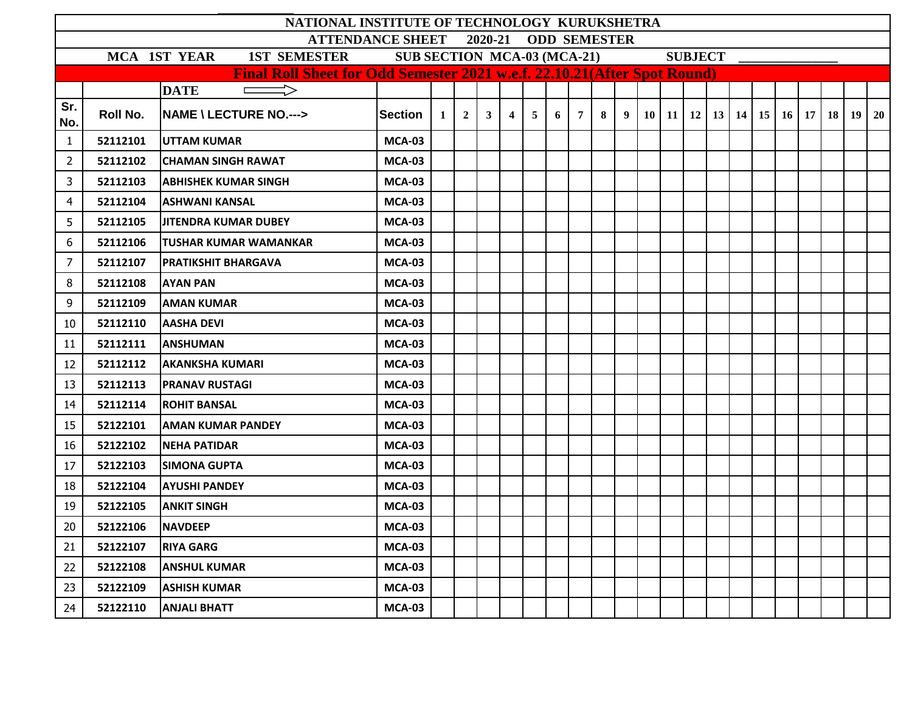|                                                                                                       |          | NATIONAL INSTITUTE OF TECHNOLOGY KURUKSHETRA |               |   |                |              |                |                |   |                 |   |  |  |  |  |  |  |                                                            |  |  |
|-------------------------------------------------------------------------------------------------------|----------|----------------------------------------------|---------------|---|----------------|--------------|----------------|----------------|---|-----------------|---|--|--|--|--|--|--|------------------------------------------------------------|--|--|
| <b>ODD SEMESTER</b><br><b>ATTENDANCE SHEET</b><br>2020-21                                             |          |                                              |               |   |                |              |                |                |   |                 |   |  |  |  |  |  |  |                                                            |  |  |
| <b>MCA 1ST YEAR</b><br><b>1ST SEMESTER</b><br><b>SUB SECTION MCA-03 (MCA-21)</b><br><b>SUBJECT</b>    |          |                                              |               |   |                |              |                |                |   |                 |   |  |  |  |  |  |  |                                                            |  |  |
| Final Roll Sheet for Odd Semester 2021 w.e.f. 22.10.21(After Spot Round)<br>$\implies$<br><b>DATE</b> |          |                                              |               |   |                |              |                |                |   |                 |   |  |  |  |  |  |  |                                                            |  |  |
|                                                                                                       |          |                                              |               |   |                |              |                |                |   |                 |   |  |  |  |  |  |  |                                                            |  |  |
| Sr.<br>No.                                                                                            | Roll No. | <b>NAME \ LECTURE NO.---&gt;</b>             | Section       | 1 | 2 <sup>1</sup> | $\mathbf{3}$ | $\overline{4}$ | 5 <sup>5</sup> | 6 | $7\overline{ }$ | 8 |  |  |  |  |  |  | $9   10   11   12   13   14   15   16   17   18   19   20$ |  |  |
| $\mathbf{1}$                                                                                          | 52112101 | <b>UTTAM KUMAR</b>                           | <b>MCA-03</b> |   |                |              |                |                |   |                 |   |  |  |  |  |  |  |                                                            |  |  |
| 2                                                                                                     | 52112102 | <b>CHAMAN SINGH RAWAT</b>                    | <b>MCA-03</b> |   |                |              |                |                |   |                 |   |  |  |  |  |  |  |                                                            |  |  |
| 3                                                                                                     | 52112103 | <b>ABHISHEK KUMAR SINGH</b>                  | <b>MCA-03</b> |   |                |              |                |                |   |                 |   |  |  |  |  |  |  |                                                            |  |  |
| 4                                                                                                     | 52112104 | <b>ASHWANI KANSAL</b>                        | <b>MCA-03</b> |   |                |              |                |                |   |                 |   |  |  |  |  |  |  |                                                            |  |  |
| 5                                                                                                     | 52112105 | <b>JITENDRA KUMAR DUBEY</b>                  | <b>MCA-03</b> |   |                |              |                |                |   |                 |   |  |  |  |  |  |  |                                                            |  |  |
| 6                                                                                                     | 52112106 | <b>TUSHAR KUMAR WAMANKAR</b>                 | <b>MCA-03</b> |   |                |              |                |                |   |                 |   |  |  |  |  |  |  |                                                            |  |  |
| $\overline{7}$                                                                                        | 52112107 | <b>PRATIKSHIT BHARGAVA</b>                   | <b>MCA-03</b> |   |                |              |                |                |   |                 |   |  |  |  |  |  |  |                                                            |  |  |
| 8                                                                                                     | 52112108 | <b>AYAN PAN</b>                              | <b>MCA-03</b> |   |                |              |                |                |   |                 |   |  |  |  |  |  |  |                                                            |  |  |
| 9                                                                                                     | 52112109 | <b>AMAN KUMAR</b>                            | <b>MCA-03</b> |   |                |              |                |                |   |                 |   |  |  |  |  |  |  |                                                            |  |  |
| 10                                                                                                    | 52112110 | <b>AASHA DEVI</b>                            | <b>MCA-03</b> |   |                |              |                |                |   |                 |   |  |  |  |  |  |  |                                                            |  |  |
| 11                                                                                                    | 52112111 | <b>ANSHUMAN</b>                              | <b>MCA-03</b> |   |                |              |                |                |   |                 |   |  |  |  |  |  |  |                                                            |  |  |
| 12                                                                                                    | 52112112 | <b>AKANKSHA KUMARI</b>                       | <b>MCA-03</b> |   |                |              |                |                |   |                 |   |  |  |  |  |  |  |                                                            |  |  |
| 13                                                                                                    | 52112113 | <b>PRANAV RUSTAGI</b>                        | <b>MCA-03</b> |   |                |              |                |                |   |                 |   |  |  |  |  |  |  |                                                            |  |  |
| 14                                                                                                    | 52112114 | <b>ROHIT BANSAL</b>                          | <b>MCA-03</b> |   |                |              |                |                |   |                 |   |  |  |  |  |  |  |                                                            |  |  |
| 15                                                                                                    | 52122101 | <b>AMAN KUMAR PANDEY</b>                     | <b>MCA-03</b> |   |                |              |                |                |   |                 |   |  |  |  |  |  |  |                                                            |  |  |
| 16                                                                                                    | 52122102 | <b>NEHA PATIDAR</b>                          | <b>MCA-03</b> |   |                |              |                |                |   |                 |   |  |  |  |  |  |  |                                                            |  |  |
| 17                                                                                                    | 52122103 | <b>SIMONA GUPTA</b>                          | <b>MCA-03</b> |   |                |              |                |                |   |                 |   |  |  |  |  |  |  |                                                            |  |  |
| 18                                                                                                    | 52122104 | <b>AYUSHI PANDEY</b>                         | <b>MCA-03</b> |   |                |              |                |                |   |                 |   |  |  |  |  |  |  |                                                            |  |  |
| 19                                                                                                    | 52122105 | <b>ANKIT SINGH</b>                           | <b>MCA-03</b> |   |                |              |                |                |   |                 |   |  |  |  |  |  |  |                                                            |  |  |
| 20                                                                                                    | 52122106 | <b>NAVDEEP</b>                               | <b>MCA-03</b> |   |                |              |                |                |   |                 |   |  |  |  |  |  |  |                                                            |  |  |
| 21                                                                                                    | 52122107 | <b>RIYA GARG</b>                             | <b>MCA-03</b> |   |                |              |                |                |   |                 |   |  |  |  |  |  |  |                                                            |  |  |
| 22                                                                                                    | 52122108 | <b>ANSHUL KUMAR</b>                          | <b>MCA-03</b> |   |                |              |                |                |   |                 |   |  |  |  |  |  |  |                                                            |  |  |
| 23                                                                                                    | 52122109 | <b>ASHISH KUMAR</b>                          | <b>MCA-03</b> |   |                |              |                |                |   |                 |   |  |  |  |  |  |  |                                                            |  |  |
| 24                                                                                                    | 52122110 | <b>ANJALI BHATT</b>                          | <b>MCA-03</b> |   |                |              |                |                |   |                 |   |  |  |  |  |  |  |                                                            |  |  |